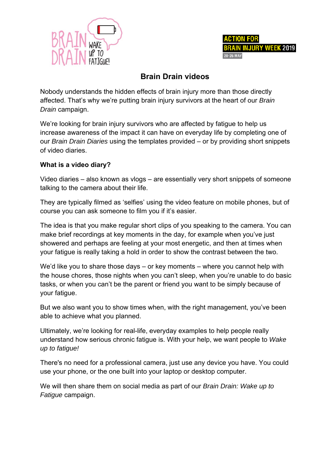



## **Brain Drain videos**

Nobody understands the hidden effects of brain injury more than those directly affected. That's why we're putting brain injury survivors at the heart of our *Brain Drain* c campaign.

We're looking for brain injury survivors who are affected by fatigue to help us increase awareness of the impact it can have on everyday life by completing one of our *Brain Drain Diaries* using the templates provided – or by providing short snippets of vide o diaries.

#### **What i s a video diary?**

Video diaries – also known as vlogs – are essentially very short snippets of someone talking to the camera about their life.

They are typically filmed as 'selfies' using the video feature on mobile phones, but of course you can ask someone to film you if it's easier.

The idea is that you make regular short clips of you speaking to the camera. You can make brief recordings at key moments in the day, for example when you've just showered and perhaps are feeling at your most energetic, and then at times when your fatigue is really taking a hold in order to show the contrast between the two.

We'd like you to share those days – or key moments – where you cannot help with the house chores, those nights when you can't sleep, when you're unable to do basic tasks, or when you can't be the parent or friend you want to be simply because of your fa atigue.

But we also want you to show times when, with the right management, you've been able to achieve what you planned.

Ultimately, we're looking for real-life, everyday examples to help people really understand how serious chronic fatigue is. With your help, we want people to Wake *up to fatigue!* 

There's no need for a professional camera, just use any device you have. You could use your phone, or the one built into your laptop or desktop computer.

We will then share them on social media as part of our *Brain Drain: Wake up to* Fatigue campaign.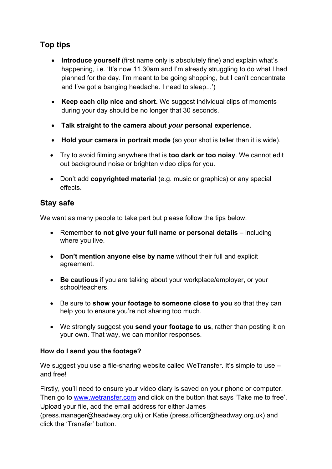# **Top tips**

- **Introduce yourself** (first name only is absolutely fine) and explain what's happening, i.e. 'It's now 11.30am and I'm already struggling to do what I had planned for the day. I'm meant to be going shopping, but I can't concentrate and I've got a banging headache. I need to sleep...')
- **Keep each clip nice and short.** We suggest individual clips of moments during your day should be no longer that 30 seconds.
- **Talk straight to the camera about** *your* **personal experience.**
- **Hold your camera in portrait mode** (so your shot is taller than it is wide).
- Try to avoid filming anywhere that is **too dark or too noisy**. We cannot edit out background noise or brighten video clips for you.
- Don't add **copyrighted material** (e.g. music or graphics) or any special effects.

## **Stay safe**

We want as many people to take part but please follow the tips below.

- Remember **to not give your full name or personal details** including where you live.
- **Don't mention anyone else by name** without their full and explicit agreement.
- **Be cautious** if you are talking about your workplace/employer, or your school/teachers.
- Be sure to **show your footage to someone close to you** so that they can help you to ensure you're not sharing too much.
- We strongly suggest you **send your footage to us**, rather than posting it on your own. That way, we can monitor responses.

#### **How do I send you the footage?**

We suggest you use a file-sharing website called WeTransfer. It's simple to use – and free!

Firstly, you'll need to ensure your video diary is saved on your phone or computer. Then go to www.wetransfer.com and click on the button that says 'Take me to free'. Upload your file, add the email address for either James (press.manager@headway.org.uk) or Katie (press.officer@headway.org.uk) and click the 'Transfer' button.